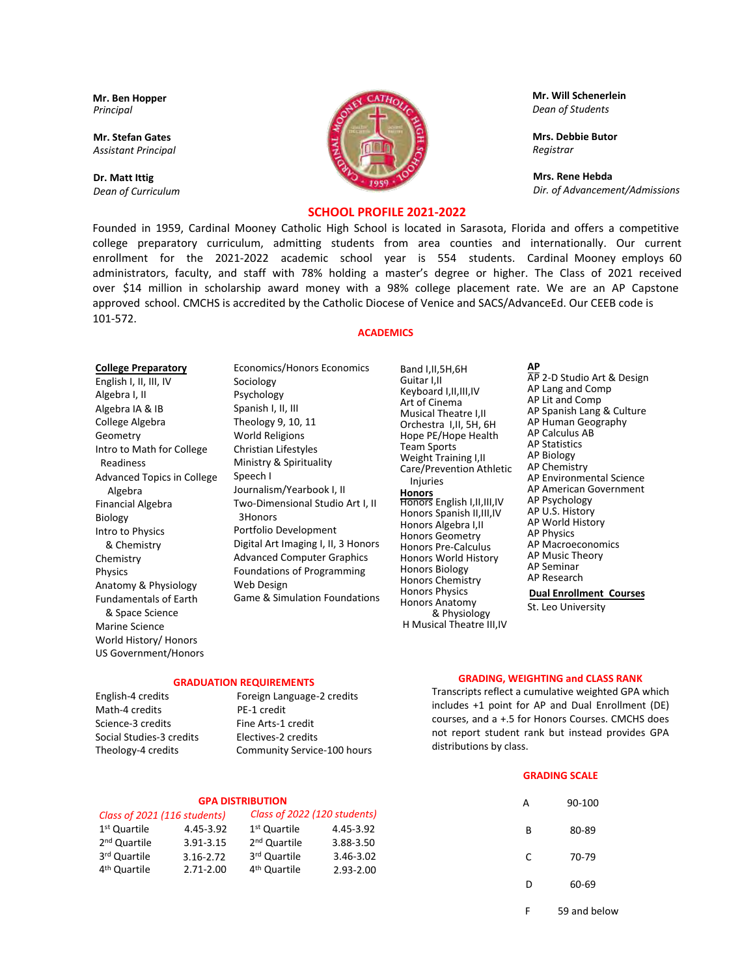**Mr. Ben Hopper**  *Principal* 

**Mr. Stefan Gates**  *Assistant Principal* 

**Dr. Matt Ittig** *Dean of Curriculum*



**Mr. Will Schenerlein** *Dean of Students*

**Mrs. Debbie Butor** *Registrar* 

**Mrs. Rene Hebda**  *Dir. of Advancement/Admissions* 

# **SCHOOL PROFILE 2021-2022**

Founded in 1959, Cardinal Mooney Catholic High School is located in Sarasota, Florida and offers a competitive college preparatory curriculum, admitting students from area counties and internationally. Our current enrollment for the 2021-2022 academic school year is 554 students. Cardinal Mooney employs 60 administrators, faculty, and staff with 78% holding a master's degree or higher. The Class of 2021 received over \$14 million in scholarship award money with a 98% college placement rate. We are an AP Capstone approved school. CMCHS is accredited by the Catholic Diocese of Venice and SACS/AdvanceEd. Our CEEB code is 101-572.

## **ACADEMICS**

### **College Preparatory**

English I, II, III, IV Algebra I, II Algebra IA & IB College Algebra Geometry Intro to Math for College Readiness Advanced Topics in College Algebra Financial Algebra Biology Intro to Physics & Chemistry Chemistry Physics Anatomy & Physiology Fundamentals of Earth & Space Science Marine Science World History/ Honors US Government/Honors

Sociology Psychology Spanish I, II, III Theology 9, 10, 11 World Religions Christian Lifestyles Ministry & Spirituality Speech I Journalism/Yearbook I, II Two-Dimensional Studio Art I, II 3Honors Portfolio Development Digital Art Imaging I, II, 3 Honors Advanced Computer Graphics Foundations of Programming Web Design Game & Simulation Foundations

Economics/Honors Economics

Band I,II,5H,6H Guitar I,II Keyboard I,II,III,IV Art of Cinema Musical Theatre I,II Orchestra I,II, 5H, 6H Hope PE/Hope Health Team Sports Weight Training I,II Care/Prevention Athletic Injuries **Honors** Honors English I,II,III,IV Honors Spanish II,III,IV Honors Algebra I,II Honors Geometry Honors Pre-Calculus Honors World History Honors Biology Honors Chemistry Honors Physics Honors Anatomy & Physiology H Musical Theatre III,IV

**AP** AP 2-D Studio Art & Design AP Lang and Comp AP Lit and Comp AP Spanish Lang & Culture AP Human Geography AP Calculus AB AP Statistics AP Biology AP Chemistry AP Environmental Science AP American Government AP Psychology AP U.S. History AP World History AP Physics AP Macroeconomics AP Music Theory AP Seminar AP Research **Dual Enrollment Courses** St. Leo University

**GRADUATION REQUIREMENTS**

Math-4 credits PE-1 credit Science-3 credits Fine Arts-1 credit Social Studies-3 credits Electives-2 credits Theology-4 credits Community Service-100 hours

English-4 credits Foreign Language-2 credits

### **GRADING, WEIGHTING and CLASS RANK**

Transcripts reflect a cumulative weighted GPA which includes +1 point for AP and Dual Enrollment (DE) courses, and a +.5 for Honors Courses. CMCHS does not report student rank but instead provides GPA distributions by class.

|   | <b>GRADING SCALE</b> |  |  |  |
|---|----------------------|--|--|--|
| A | 90-100               |  |  |  |
| R | 80-89                |  |  |  |
| C | 70-79                |  |  |  |
| D | 60-69                |  |  |  |
| F | 59 and helow         |  |  |  |

### **GPA DISTRIBUTION**

| Class of 2021 (116 students) |           |                          | Class of 2022 (120 students) |  |  |
|------------------------------|-----------|--------------------------|------------------------------|--|--|
| 1 <sup>st</sup> Quartile     | 4.45-3.92 | 1 <sup>st</sup> Quartile | 4.45-3.92                    |  |  |
| 2 <sup>nd</sup> Quartile     | 3.91-3.15 | 2 <sup>nd</sup> Quartile | 3.88-3.50                    |  |  |
| 3 <sup>rd</sup> Quartile     | 3.16-2.72 | 3rd Quartile             | 3.46-3.02                    |  |  |
| 4 <sup>th</sup> Quartile     | 2.71-2.00 | 4 <sup>th</sup> Quartile | $2.93 - 2.00$                |  |  |